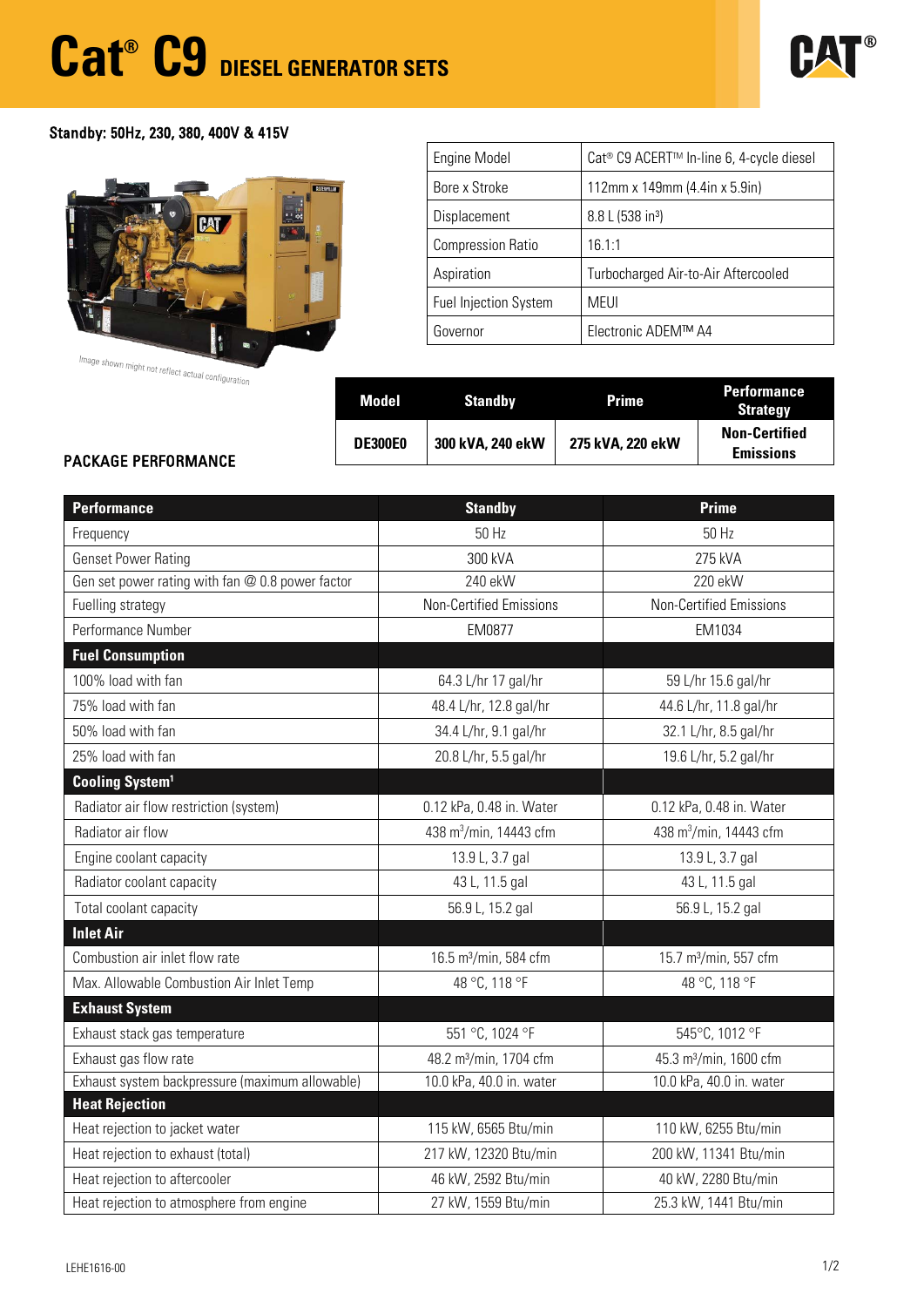# **Cat® C9 DIESEL GENERATOR SETS**



## Standby: 50Hz, 230, 380, 400V & 415V



Image shown might not reflect actual configuration

| Engine Model                 | Cat <sup>®</sup> C9 ACERT <sup>™</sup> In-line 6, 4-cycle diesel |  |  |
|------------------------------|------------------------------------------------------------------|--|--|
| Bore x Stroke                | 112mm x 149mm (4.4in x 5.9in)                                    |  |  |
| Displacement                 | 8.8 L (538 in <sup>3</sup> )                                     |  |  |
| <b>Compression Ratio</b>     | 16.1:1                                                           |  |  |
| Aspiration                   | Turbocharged Air-to-Air Aftercooled                              |  |  |
| <b>Fuel Injection System</b> | <b>MEUI</b>                                                      |  |  |
| Governor                     | Electronic ADEM™ A4                                              |  |  |

| $\sigma$ - $\alpha$ . | Model          | <b>Standby</b>   | <b>Prime</b>     | <b>Performance</b><br><b>Strategy</b>    |  |  |
|-----------------------|----------------|------------------|------------------|------------------------------------------|--|--|
| <b>AANCE</b>          | <b>DE300E0</b> | 300 kVA, 240 ekW | 275 kVA, 220 ekW | <b>Non-Certified</b><br><b>Emissions</b> |  |  |

### PACKAGE PERFORMANCE

| <b>Performance</b>                               | <b>Standby</b>                     | <b>Prime</b>                       |  |  |  |
|--------------------------------------------------|------------------------------------|------------------------------------|--|--|--|
| Frequency                                        | 50 Hz                              | 50 Hz                              |  |  |  |
| <b>Genset Power Rating</b>                       | 300 kVA                            | 275 kVA                            |  |  |  |
| Gen set power rating with fan @ 0.8 power factor | 240 ekW                            | 220 ekW                            |  |  |  |
| Fuelling strategy                                | <b>Non-Certified Emissions</b>     | <b>Non-Certified Emissions</b>     |  |  |  |
| Performance Number                               | EM0877                             | EM1034                             |  |  |  |
| <b>Fuel Consumption</b>                          |                                    |                                    |  |  |  |
| 100% load with fan                               | 64.3 L/hr 17 gal/hr                | 59 L/hr 15.6 gal/hr                |  |  |  |
| 75% load with fan                                | 48.4 L/hr, 12.8 gal/hr             | 44.6 L/hr, 11.8 gal/hr             |  |  |  |
| 50% load with fan                                | 34.4 L/hr, 9.1 gal/hr              | 32.1 L/hr, 8.5 gal/hr              |  |  |  |
| 25% load with fan                                | 20.8 L/hr, 5.5 gal/hr              | 19.6 L/hr, 5.2 gal/hr              |  |  |  |
| <b>Cooling System<sup>1</sup></b>                |                                    |                                    |  |  |  |
| Radiator air flow restriction (system)           | 0.12 kPa, 0.48 in. Water           | 0.12 kPa, 0.48 in. Water           |  |  |  |
| Radiator air flow                                | 438 m <sup>3</sup> /min, 14443 cfm | 438 m <sup>3</sup> /min, 14443 cfm |  |  |  |
| Engine coolant capacity                          | 13.9 L, 3.7 gal                    | 13.9 L, 3.7 gal                    |  |  |  |
| Radiator coolant capacity                        | 43 L, 11.5 gal                     | 43 L, 11.5 gal                     |  |  |  |
| Total coolant capacity                           | 56.9 L, 15.2 gal                   | 56.9 L, 15.2 gal                   |  |  |  |
| <b>Inlet Air</b>                                 |                                    |                                    |  |  |  |
| Combustion air inlet flow rate                   | 16.5 m <sup>3</sup> /min, 584 cfm  | 15.7 m <sup>3</sup> /min, 557 cfm  |  |  |  |
| Max. Allowable Combustion Air Inlet Temp         | 48 °C, 118 °F                      | 48 °C, 118 °F                      |  |  |  |
| <b>Exhaust System</b>                            |                                    |                                    |  |  |  |
| Exhaust stack gas temperature                    | 551 °C, 1024 °F                    | 545°C, 1012 °F                     |  |  |  |
| Exhaust gas flow rate                            | 48.2 m <sup>3</sup> /min, 1704 cfm | 45.3 m <sup>3</sup> /min, 1600 cfm |  |  |  |
| Exhaust system backpressure (maximum allowable)  | 10.0 kPa, 40.0 in. water           | 10.0 kPa, 40.0 in. water           |  |  |  |
| <b>Heat Rejection</b>                            |                                    |                                    |  |  |  |
| Heat rejection to jacket water                   | 115 kW, 6565 Btu/min               | 110 kW, 6255 Btu/min               |  |  |  |
| Heat rejection to exhaust (total)                | 217 kW, 12320 Btu/min              | 200 kW, 11341 Btu/min              |  |  |  |
| Heat rejection to aftercooler                    | 46 kW, 2592 Btu/min                | 40 kW, 2280 Btu/min                |  |  |  |
| Heat rejection to atmosphere from engine         | 27 kW, 1559 Btu/min                | 25.3 kW, 1441 Btu/min              |  |  |  |